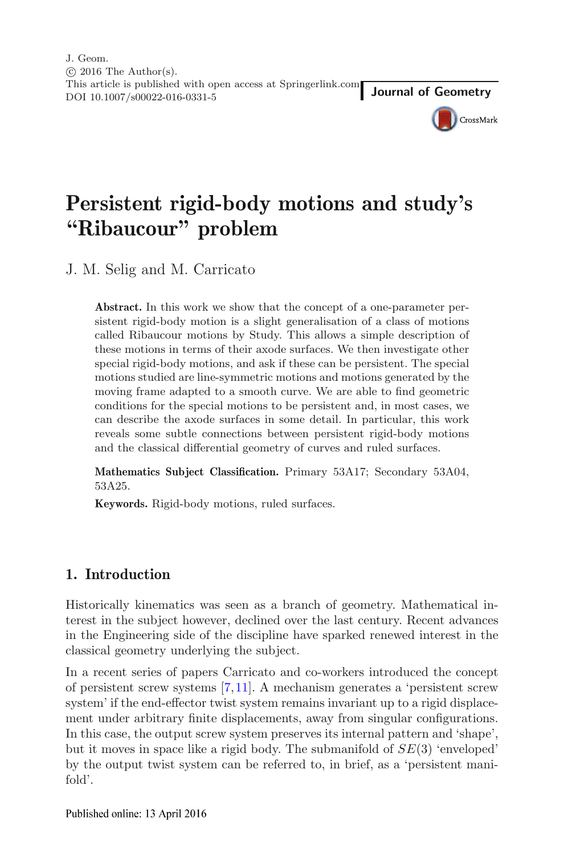J. Geom.  $\odot$  2016 The Author(s). This article is published with open access at Springerlink.com This article is published with open access at Springerink.com<br>DOI 10.1007/s00022-016-0331-5



# **Persistent rigid-body motions and study's "Ribaucour" problem**

J. M. Selig and M. Carricato

**Abstract.** In this work we show that the concept of a one-parameter persistent rigid-body motion is a slight generalisation of a class of motions called Ribaucour motions by Study. This allows a simple description of these motions in terms of their axode surfaces. We then investigate other special rigid-body motions, and ask if these can be persistent. The special motions studied are line-symmetric motions and motions generated by the moving frame adapted to a smooth curve. We are able to find geometric conditions for the special motions to be persistent and, in most cases, we can describe the axode surfaces in some detail. In particular, this work reveals some subtle connections between persistent rigid-body motions and the classical differential geometry of curves and ruled surfaces.

**Mathematics Subject Classification.** Primary 53A17; Secondary 53A04, 53A25.

**Keywords.** Rigid-body motions, ruled surfaces.

# **1. Introduction**

Historically kinematics was seen as a branch of geometry. Mathematical interest in the subject however, declined over the last century. Recent advances in the Engineering side of the discipline have sparked renewed interest in the classical geometry underlying the subject.

In a recent series of papers Carricato and co-workers introduced the concept of persistent screw systems [\[7,](#page-19-0)[11\]](#page-19-1). A mechanism generates a 'persistent screw system' if the end-effector twist system remains invariant up to a rigid displacement under arbitrary finite displacements, away from singular configurations. In this case, the output screw system preserves its internal pattern and 'shape', but it moves in space like a rigid body. The submanifold of  $SE(3)$  'enveloped' by the output twist system can be referred to, in brief, as a 'persistent manifold'.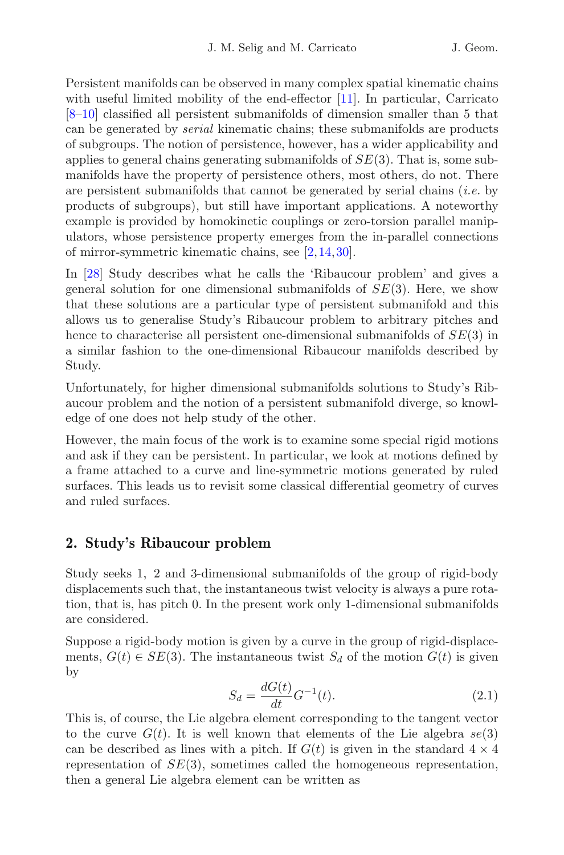Persistent manifolds can be observed in many complex spatial kinematic chains with useful limited mobility of the end-effector [\[11](#page-19-1)]. In particular, Carricato [\[8](#page-19-2)[–10\]](#page-19-3) classified all persistent submanifolds of dimension smaller than 5 that can be generated by *serial* kinematic chains; these submanifolds are products of subgroups. The notion of persistence, however, has a wider applicability and applies to general chains generating submanifolds of  $SE(3)$ . That is, some submanifolds have the property of persistence others, most others, do not. There are persistent submanifolds that cannot be generated by serial chains (*i.e.* by products of subgroups), but still have important applications. A noteworthy example is provided by homokinetic couplings or zero-torsion parallel manipulators, whose persistence property emerges from the in-parallel connections of mirror-symmetric kinematic chains, see [\[2,](#page-18-0)[14](#page-19-4)[,30](#page-20-0)].

In [\[28\]](#page-20-1) Study describes what he calls the 'Ribaucour problem' and gives a general solution for one dimensional submanifolds of  $SE(3)$ . Here, we show that these solutions are a particular type of persistent submanifold and this allows us to generalise Study's Ribaucour problem to arbitrary pitches and hence to characterise all persistent one-dimensional submanifolds of  $SE(3)$  in a similar fashion to the one-dimensional Ribaucour manifolds described by Study.

Unfortunately, for higher dimensional submanifolds solutions to Study's Ribaucour problem and the notion of a persistent submanifold diverge, so knowledge of one does not help study of the other.

However, the main focus of the work is to examine some special rigid motions and ask if they can be persistent. In particular, we look at motions defined by a frame attached to a curve and line-symmetric motions generated by ruled surfaces. This leads us to revisit some classical differential geometry of curves and ruled surfaces.

# <span id="page-1-1"></span>**2. Study's Ribaucour problem**

Study seeks 1, 2 and 3-dimensional submanifolds of the group of rigid-body displacements such that, the instantaneous twist velocity is always a pure rotation, that is, has pitch 0. In the present work only 1-dimensional submanifolds are considered.

Suppose a rigid-body motion is given by a curve in the group of rigid-displacements,  $G(t) \in SE(3)$ . The instantaneous twist  $S_d$  of the motion  $G(t)$  is given by

$$
S_d = \frac{dG(t)}{dt} G^{-1}(t).
$$
 (2.1)

<span id="page-1-0"></span>This is, of course, the Lie algebra element corresponding to the tangent vector to the curve  $G(t)$ . It is well known that elements of the Lie algebra  $se(3)$ can be described as lines with a pitch. If  $G(t)$  is given in the standard  $4 \times 4$ representation of  $SE(3)$ , sometimes called the homogeneous representation, then a general Lie algebra element can be written as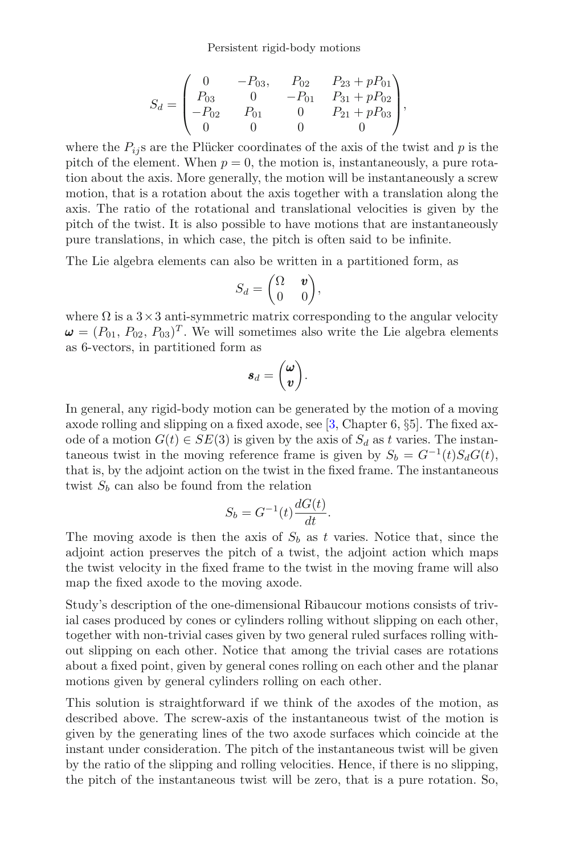Persistent rigid-body motions

$$
S_d = \begin{pmatrix} 0 & -P_{03}, & P_{02} & P_{23} + pP_{01} \\ P_{03} & 0 & -P_{01} & P_{31} + pP_{02} \\ -P_{02} & P_{01} & 0 & P_{21} + pP_{03} \\ 0 & 0 & 0 & 0 \end{pmatrix},
$$

where the  $P_{ij}$ s are the Plücker coordinates of the axis of the twist and p is the pitch of the element. When  $p = 0$ , the motion is, instantaneously, a pure rotation about the axis. More generally, the motion will be instantaneously a screw motion, that is a rotation about the axis together with a translation along the axis. The ratio of the rotational and translational velocities is given by the pitch of the twist. It is also possible to have motions that are instantaneously pure translations, in which case, the pitch is often said to be infinite.

The Lie algebra elements can also be written in a partitioned form, as

$$
S_d = \begin{pmatrix} \Omega & \mathbf{v} \\ 0 & 0 \end{pmatrix},
$$

where  $\Omega$  is a  $3\times 3$  anti-symmetric matrix corresponding to the angular velocity  $\mathbf{\omega} = (P_{01}, P_{02}, P_{03})^T$ . We will sometimes also write the Lie algebra elements as 6-vectors, in partitioned form as

$$
\bm{s}_d = \begin{pmatrix} \bm{\omega} \\ \bm{v} \end{pmatrix}.
$$

In general, any rigid-body motion can be generated by the motion of a moving axode rolling and slipping on a fixed axode, see [\[3](#page-19-5), Chapter 6, §5]. The fixed axode of a motion  $G(t) \in SE(3)$  is given by the axis of  $S_d$  as t varies. The instantaneous twist in the moving reference frame is given by  $S_b = G^{-1}(t)S_dG(t)$ , that is, by the adjoint action on the twist in the fixed frame. The instantaneous twist  $S_b$  can also be found from the relation

$$
S_b = G^{-1}(t) \frac{dG(t)}{dt}.
$$

The moving axode is then the axis of  $S_b$  as t varies. Notice that, since the adjoint action preserves the pitch of a twist, the adjoint action which maps the twist velocity in the fixed frame to the twist in the moving frame will also map the fixed axode to the moving axode.

Study's description of the one-dimensional Ribaucour motions consists of trivial cases produced by cones or cylinders rolling without slipping on each other, together with non-trivial cases given by two general ruled surfaces rolling without slipping on each other. Notice that among the trivial cases are rotations about a fixed point, given by general cones rolling on each other and the planar motions given by general cylinders rolling on each other.

This solution is straightforward if we think of the axodes of the motion, as described above. The screw-axis of the instantaneous twist of the motion is given by the generating lines of the two axode surfaces which coincide at the instant under consideration. The pitch of the instantaneous twist will be given by the ratio of the slipping and rolling velocities. Hence, if there is no slipping, the pitch of the instantaneous twist will be zero, that is a pure rotation. So,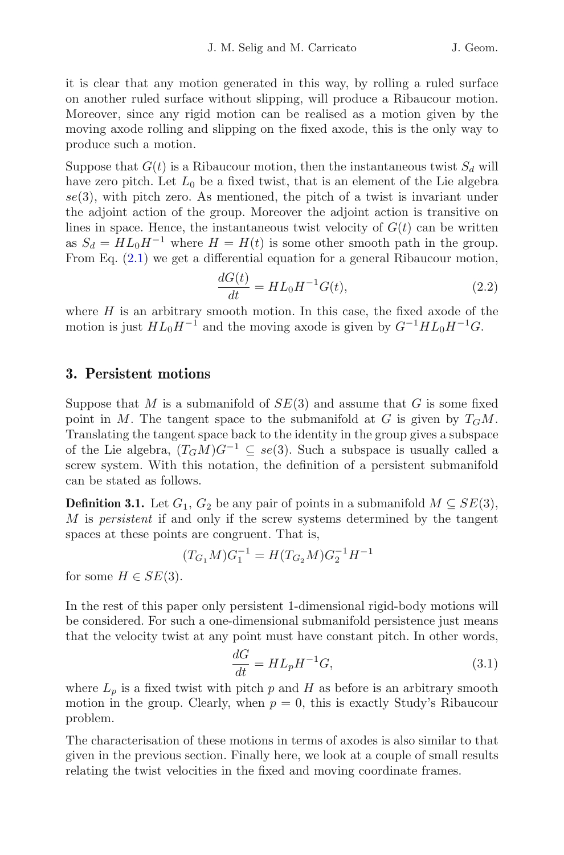it is clear that any motion generated in this way, by rolling a ruled surface on another ruled surface without slipping, will produce a Ribaucour motion. Moreover, since any rigid motion can be realised as a motion given by the moving axode rolling and slipping on the fixed axode, this is the only way to produce such a motion.

Suppose that  $G(t)$  is a Ribaucour motion, then the instantaneous twist  $S_d$  will have zero pitch. Let  $L_0$  be a fixed twist, that is an element of the Lie algebra  $se(3)$ , with pitch zero. As mentioned, the pitch of a twist is invariant under the adjoint action of the group. Moreover the adjoint action is transitive on lines in space. Hence, the instantaneous twist velocity of  $G(t)$  can be written as  $S_d = HL_0H^{-1}$  where  $H = H(t)$  is some other smooth path in the group. From Eq. [\(2.1\)](#page-1-0) we get a differential equation for a general Ribaucour motion,

$$
\frac{dG(t)}{dt} = HL_0H^{-1}G(t),
$$
\n(2.2)

where  $H$  is an arbitrary smooth motion. In this case, the fixed axode of the motion is just  $HL_0H^{-1}$  and the moving axode is given by  $G^{-1}HL_0H^{-1}G$ .

# **3. Persistent motions**

Suppose that M is a submanifold of  $SE(3)$  and assume that G is some fixed point in M. The tangent space to the submanifold at G is given by  $T_GM$ . Translating the tangent space back to the identity in the group gives a subspace of the Lie algebra,  $(T_GM)G^{-1} \subseteq se(3)$ . Such a subspace is usually called a screw system. With this notation, the definition of a persistent submanifold can be stated as follows.

**Definition 3.1.** Let  $G_1$ ,  $G_2$  be any pair of points in a submanifold  $M \subseteq SE(3)$ , M is *persistent* if and only if the screw systems determined by the tangent spaces at these points are congruent. That is,

$$
(T_{G_1}M)G_1^{-1} = H(T_{G_2}M)G_2^{-1}H^{-1}
$$

for some  $H \in SE(3)$ .

In the rest of this paper only persistent 1-dimensional rigid-body motions will be considered. For such a one-dimensional submanifold persistence just means that the velocity twist at any point must have constant pitch. In other words,

$$
\frac{dG}{dt} = HL_p H^{-1}G,\t\t(3.1)
$$

<span id="page-3-0"></span>where  $L_p$  is a fixed twist with pitch p and H as before is an arbitrary smooth motion in the group. Clearly, when  $p = 0$ , this is exactly Study's Ribaucour problem.

The characterisation of these motions in terms of axodes is also similar to that given in the previous section. Finally here, we look at a couple of small results relating the twist velocities in the fixed and moving coordinate frames.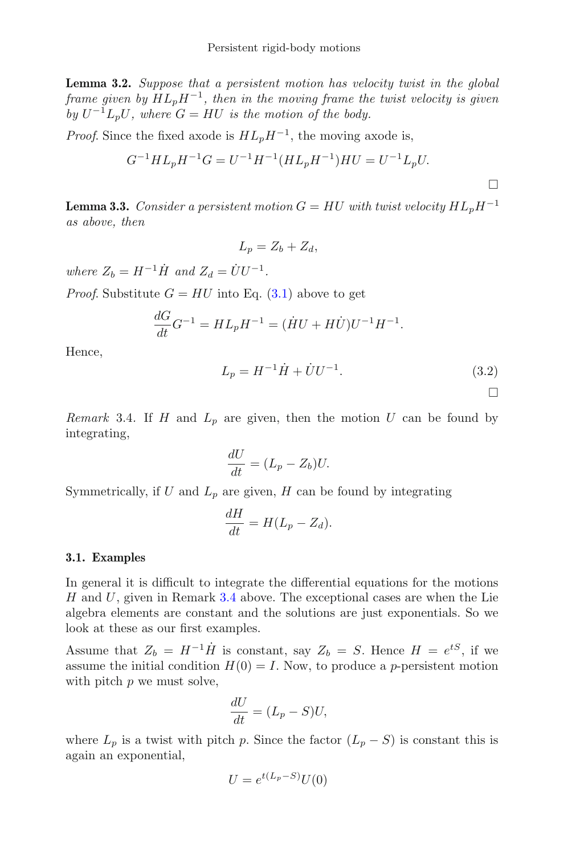**Lemma 3.2.** *Suppose that a persistent motion has velocity twist in the global frame given by*  $HL_pH^{-1}$ *, then in the moving frame the twist velocity is given by*  $U^{-1}L_pU$ *, where*  $G = HU$  *is the motion of the body.* 

*Proof.* Since the fixed axode is  $HL_pH^{-1}$ , the moving axode is,

$$
G^{-1}HL_pH^{-1}G = U^{-1}H^{-1}(HL_pH^{-1})HU = U^{-1}L_pU.
$$

**Lemma 3.3.** *Consider a persistent motion*  $G = HU$  *with twist velocity*  $HL_nH^{-1}$ *as above, then*

$$
L_p = Z_b + Z_d,
$$

*where*  $Z_b = H^{-1} \dot{H}$  *and*  $Z_d = \dot{U} U^{-1}$ *.* 

*Proof.* Substitute  $G = HU$  into Eq. [\(3.1\)](#page-3-0) above to get

<span id="page-4-1"></span>
$$
\frac{dG}{dt}G^{-1} = HL_pH^{-1} = (\dot{H}U + H\dot{U})U^{-1}H^{-1}.
$$

Hence,

$$
L_p = H^{-1}\dot{H} + \dot{U}U^{-1}.
$$
\n(3.2)

 $\Box$ 

<span id="page-4-0"></span>*Remark* 3.4. If H and  $L_p$  are given, then the motion U can be found by integrating,

$$
\frac{dU}{dt} = (L_p - Z_b)U.
$$

Symmetrically, if U and  $L_p$  are given, H can be found by integrating

$$
\frac{dH}{dt} = H(L_p - Z_d).
$$

#### <span id="page-4-2"></span>**3.1. Examples**

In general it is difficult to integrate the differential equations for the motions  $H$  and  $U$ , given in Remark [3.4](#page-4-0) above. The exceptional cases are when the Lie algebra elements are constant and the solutions are just exponentials. So we look at these as our first examples.

Assume that  $Z_b = H^{-1} \dot{H}$  is constant, say  $Z_b = S$ . Hence  $H = e^{tS}$ , if we assume the initial condition  $H(0) = I$ . Now, to produce a *p*-persistent motion with pitch  $p$  we must solve,

$$
\frac{dU}{dt} = (L_p - S)U,
$$

where  $L_p$  is a twist with pitch p. Since the factor  $(L_p - S)$  is constant this is again an exponential,

$$
U = e^{t(L_p - S)}U(0)
$$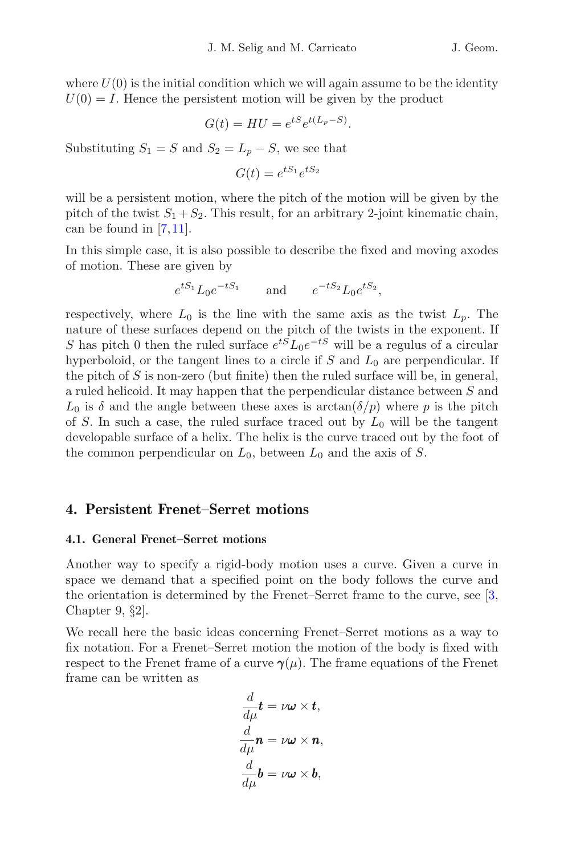where  $U(0)$  is the initial condition which we will again assume to be the identity  $U(0) = I$ . Hence the persistent motion will be given by the product

$$
G(t) = HU = e^{tS}e^{t(L_p - S)}.
$$

Substituting  $S_1 = S$  and  $S_2 = L_p - S$ , we see that

$$
G(t) = e^{tS_1}e^{tS_2}
$$

will be a persistent motion, where the pitch of the motion will be given by the pitch of the twist  $S_1 + S_2$ . This result, for an arbitrary 2-joint kinematic chain, can be found in [\[7](#page-19-0)[,11](#page-19-1)].

In this simple case, it is also possible to describe the fixed and moving axodes of motion. These are given by

$$
e^{tS_1}L_0e^{-tS_1}
$$
 and  $e^{-tS_2}L_0e^{tS_2}$ ,

respectively, where  $L_0$  is the line with the same axis as the twist  $L_p$ . The nature of these surfaces depend on the pitch of the twists in the exponent. If S has pitch 0 then the ruled surface  $e^{tS}L_0e^{-tS}$  will be a regulus of a circular hyperboloid, or the tangent lines to a circle if  $S$  and  $L_0$  are perpendicular. If the pitch of  $S$  is non-zero (but finite) then the ruled surface will be, in general, a ruled helicoid. It may happen that the perpendicular distance between S and  $L_0$  is  $\delta$  and the angle between these axes is  $arctan(\delta/p)$  where p is the pitch of S. In such a case, the ruled surface traced out by  $L_0$  will be the tangent developable surface of a helix. The helix is the curve traced out by the foot of the common perpendicular on  $L_0$ , between  $L_0$  and the axis of S.

## <span id="page-5-0"></span>**4. Persistent Frenet–Serret motions**

#### **4.1. General Frenet–Serret motions**

Another way to specify a rigid-body motion uses a curve. Given a curve in space we demand that a specified point on the body follows the curve and the orientation is determined by the Frenet–Serret frame to the curve, see [\[3,](#page-19-5) Chapter 9, §2].

We recall here the basic ideas concerning Frenet–Serret motions as a way to fix notation. For a Frenet–Serret motion the motion of the body is fixed with respect to the Frenet frame of a curve  $\gamma(\mu)$ . The frame equations of the Frenet frame can be written as

$$
\frac{d}{d\mu}\mathbf{t} = \nu\boldsymbol{\omega} \times \mathbf{t},
$$
\n
$$
\frac{d}{d\mu}\mathbf{n} = \nu\boldsymbol{\omega} \times \mathbf{n},
$$
\n
$$
\frac{d}{d\mu}\mathbf{b} = \nu\boldsymbol{\omega} \times \mathbf{b},
$$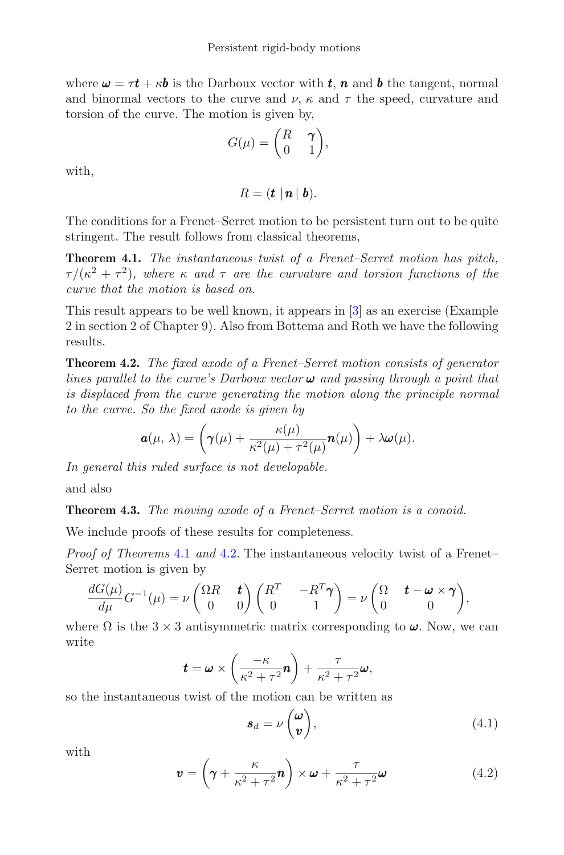where  $\omega = \tau t + \kappa b$  is the Darboux vector with t, n and b the tangent, normal and binormal vectors to the curve and  $\nu$ ,  $\kappa$  and  $\tau$  the speed, curvature and torsion of the curve. The motion is given by,

$$
G(\mu) = \begin{pmatrix} R & \gamma \\ 0 & 1 \end{pmatrix},
$$

with,

 $R = (t \mid n \mid b).$ 

The conditions for a Frenet–Serret motion to be persistent turn out to be quite stringent. The result follows from classical theorems,

<span id="page-6-0"></span>**Theorem 4.1.** *The instantaneous twist of a Frenet–Serret motion has pitch,*  $\tau/(\kappa^2 + \tau^2)$ *, where*  $\kappa$  *and*  $\tau$  *are the curvature and torsion functions of the curve that the motion is based on.*

This result appears to be well known, it appears in [\[3\]](#page-19-5) as an exercise (Example 2 in section 2 of Chapter 9). Also from Bottema and Roth we have the following results.

<span id="page-6-1"></span>**Theorem 4.2.** *The fixed axode of a Frenet–Serret motion consists of generator lines parallel to the curve's Darboux vector* ω *and passing through a point that is displaced from the curve generating the motion along the principle normal to the curve. So the fixed axode is given by*

$$
\mathbf{a}(\mu,\,\lambda)=\left(\boldsymbol{\gamma}(\mu)+\frac{\kappa(\mu)}{\kappa^2(\mu)+\tau^2(\mu)}\mathbf{n}(\mu)\right)+\lambda\boldsymbol{\omega}(\mu).
$$

*In general this ruled surface is not developable.*

<span id="page-6-3"></span>and also

**Theorem 4.3.** *The moving axode of a Frenet–Serret motion is a conoid.*

We include proofs of these results for completeness.

*Proof of Theorems* [4.1](#page-6-0) *and* [4.2.](#page-6-1) The instantaneous velocity twist of a Frenet– Serret motion is given by

$$
\frac{dG(\mu)}{d\mu}G^{-1}(\mu)=\nu\begin{pmatrix}\Omega R&\boldsymbol{t}\\0&0\end{pmatrix}\begin{pmatrix}R^T&-R^T\boldsymbol{\gamma}\\0&1\end{pmatrix}=\nu\begin{pmatrix}\Omega&\boldsymbol{t}-\boldsymbol{\omega}\times\boldsymbol{\gamma}\\0&0\end{pmatrix},
$$

where  $\Omega$  is the  $3 \times 3$  antisymmetric matrix corresponding to  $\omega$ . Now, we can write

$$
\boldsymbol{t} = \boldsymbol{\omega} \times \left(\frac{-\kappa}{\kappa^2 + \tau^2} \boldsymbol{n}\right) + \frac{\tau}{\kappa^2 + \tau^2} \boldsymbol{\omega},
$$

so the instantaneous twist of the motion can be written as

$$
\mathbf{s}_d = \nu \begin{pmatrix} \boldsymbol{\omega} \\ \boldsymbol{v} \end{pmatrix},\tag{4.1}
$$

<span id="page-6-2"></span>with

$$
\mathbf{v} = \left(\gamma + \frac{\kappa}{\kappa^2 + \tau^2} \mathbf{n}\right) \times \boldsymbol{\omega} + \frac{\tau}{\kappa^2 + \tau^2} \boldsymbol{\omega}
$$
 (4.2)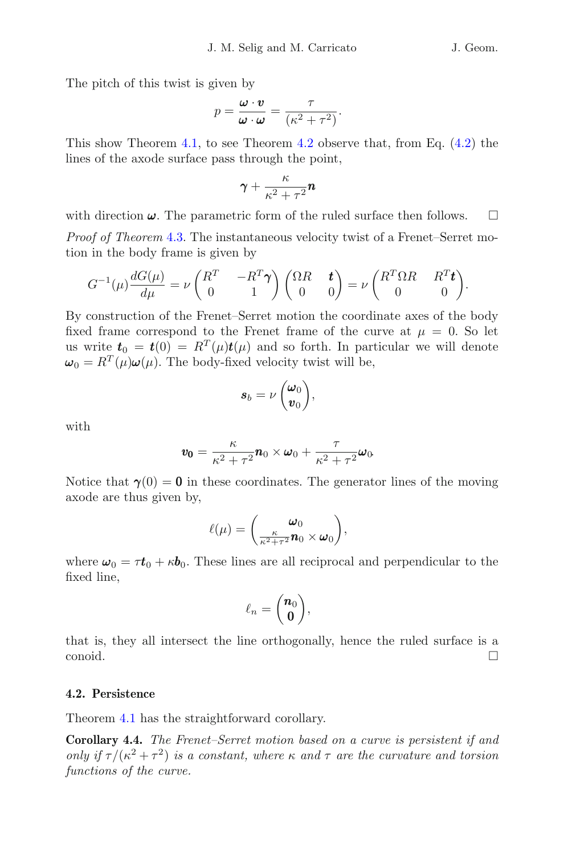The pitch of this twist is given by

$$
p = \frac{\boldsymbol{\omega} \cdot \boldsymbol{v}}{\boldsymbol{\omega} \cdot \boldsymbol{\omega}} = \frac{\tau}{(\kappa^2 + \tau^2)}.
$$

This show Theorem [4.1,](#page-6-0) to see Theorem [4.2](#page-6-1) observe that, from Eq. [\(4.2\)](#page-6-2) the lines of the axode surface pass through the point,

$$
\gamma+\frac{\kappa}{\kappa^2+\tau^2}\pmb{n}
$$

with direction  $\omega$ . The parametric form of the ruled surface then follows.  $\Box$ 

*Proof of Theorem* [4.3.](#page-6-3) The instantaneous velocity twist of a Frenet–Serret motion in the body frame is given by

$$
G^{-1}(\mu) \frac{dG(\mu)}{d\mu} = \nu \begin{pmatrix} R^T & -R^T \boldsymbol{\gamma} \\ 0 & 1 \end{pmatrix} \begin{pmatrix} \Omega R & \boldsymbol{t} \\ 0 & 0 \end{pmatrix} = \nu \begin{pmatrix} R^T \Omega R & R^T \boldsymbol{t} \\ 0 & 0 \end{pmatrix}.
$$

By construction of the Frenet–Serret motion the coordinate axes of the body fixed frame correspond to the Frenet frame of the curve at  $\mu = 0$ . So let us write  $t_0 = t(0) = R^T(\mu)t(\mu)$  and so forth. In particular we will denote  $\omega_0 = R^T(\mu)\omega(\mu)$ . The body-fixed velocity twist will be,

$$
\boldsymbol{s}_b = \nu \begin{pmatrix} \boldsymbol{\omega}_0 \\ \boldsymbol{v}_0 \end{pmatrix},
$$

with

$$
\mathbf{v_0} = \frac{\kappa}{\kappa^2 + \tau^2} \mathbf{n}_0 \times \boldsymbol{\omega}_0 + \frac{\tau}{\kappa^2 + \tau^2} \boldsymbol{\omega}_0
$$

Notice that  $\gamma(0) = 0$  in these coordinates. The generator lines of the moving axode are thus given by,

$$
\ell(\mu) = \left(\frac{\omega_0}{\frac{\kappa}{\kappa^2 + \tau^2} n_0 \times \omega_0}\right),
$$

where  $\omega_0 = \tau t_0 + \kappa b_0$ . These lines are all reciprocal and perpendicular to the fixed line,

$$
\ell_n = \binom{n_0}{0},
$$

that is, they all intersect the line orthogonally, hence the ruled surface is a conoid.  $\Box$ 

### **4.2. Persistence**

Theorem [4.1](#page-6-0) has the straightforward corollary.

<span id="page-7-0"></span>**Corollary 4.4.** *The Frenet–Serret motion based on a curve is persistent if and only if*  $\tau/(\kappa^2 + \tau^2)$  *is a constant, where*  $\kappa$  *and*  $\tau$  *are the curvature and torsion functions of the curve.*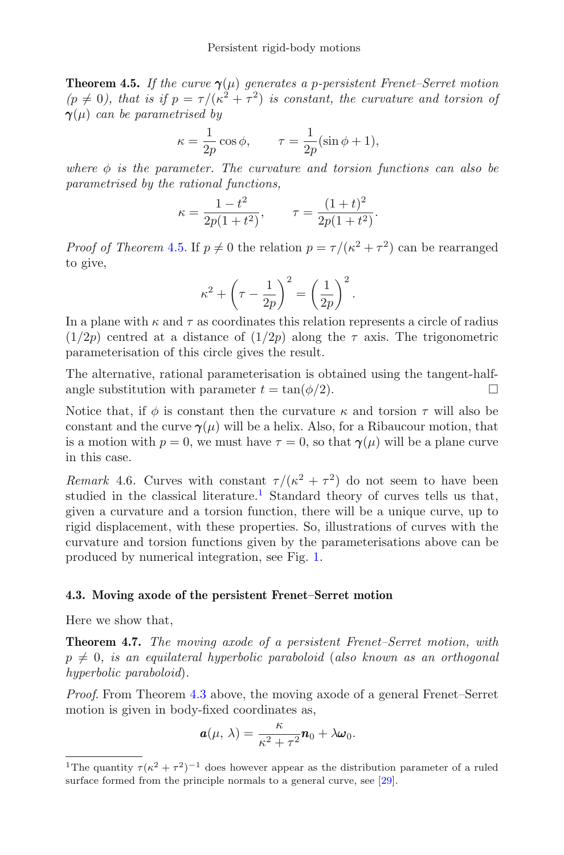**Theorem 4.5.** *If the curve*  $\gamma(\mu)$  *generates a p-persistent Frenet–Serret motion*  $(p \neq 0)$ , that is if  $p = \tau/(\kappa^2 + \tau^2)$  is constant, the curvature and torsion of γ(μ) *can be parametrised by*

$$
\kappa = \frac{1}{2p} \cos \phi, \qquad \tau = \frac{1}{2p} (\sin \phi + 1),
$$

*where φ is the parameter. The curvature and torsion functions can also be parametrised by the rational functions,*

$$
\kappa = \frac{1 - t^2}{2p(1 + t^2)}, \qquad \tau = \frac{(1 + t)^2}{2p(1 + t^2)}.
$$

*Proof of Theorem* [4.5.](#page-7-0) If  $p \neq 0$  the relation  $p = \tau/(\kappa^2 + \tau^2)$  can be rearranged to give,

$$
\kappa^2 + \left(\tau - \frac{1}{2p}\right)^2 = \left(\frac{1}{2p}\right)^2.
$$

In a plane with  $\kappa$  and  $\tau$  as coordinates this relation represents a circle of radius  $(1/2p)$  centred at a distance of  $(1/2p)$  along the  $\tau$  axis. The trigonometric parameterisation of this circle gives the result.

The alternative, rational parameterisation is obtained using the tangent-halfangle substitution with parameter  $t = \tan(\phi/2)$ .

Notice that, if  $\phi$  is constant then the curvature  $\kappa$  and torsion  $\tau$  will also be constant and the curve  $\gamma(\mu)$  will be a helix. Also, for a Ribaucour motion, that is a motion with  $p = 0$ , we must have  $\tau = 0$ , so that  $\gamma(\mu)$  will be a plane curve in this case.

*Remark* 4.6. Curves with constant  $\tau/(\kappa^2 + \tau^2)$  do not seem to have been studied in the classical literature.<sup>[1](#page-8-0)</sup> Standard theory of curves tells us that, given a curvature and a torsion function, there will be a unique curve, up to rigid displacement, with these properties. So, illustrations of curves with the curvature and torsion functions given by the parameterisations above can be produced by numerical integration, see Fig. [1.](#page-9-0)

### **4.3. Moving axode of the persistent Frenet–Serret motion**

Here we show that,

**Theorem 4.7.** *The moving axode of a persistent Frenet–Serret motion, with*  $p \neq 0$ , is an equilateral hyperbolic paraboloid (also known as an orthogonal *hyperbolic paraboloid*)*.*

*Proof*. From Theorem [4.3](#page-6-3) above, the moving axode of a general Frenet–Serret motion is given in body-fixed coordinates as,

$$
\mathbf{a}(\mu,\,\lambda)=\frac{\kappa}{\kappa^2+\tau^2}\mathbf{n}_0+\lambda\boldsymbol{\omega}_0.
$$

<span id="page-8-0"></span><sup>&</sup>lt;sup>1</sup>The quantity  $\tau(\kappa^2 + \tau^2)^{-1}$  does however appear as the distribution parameter of a ruled surface formed from the principle normals to a general curve, see [\[29\]](#page-20-2).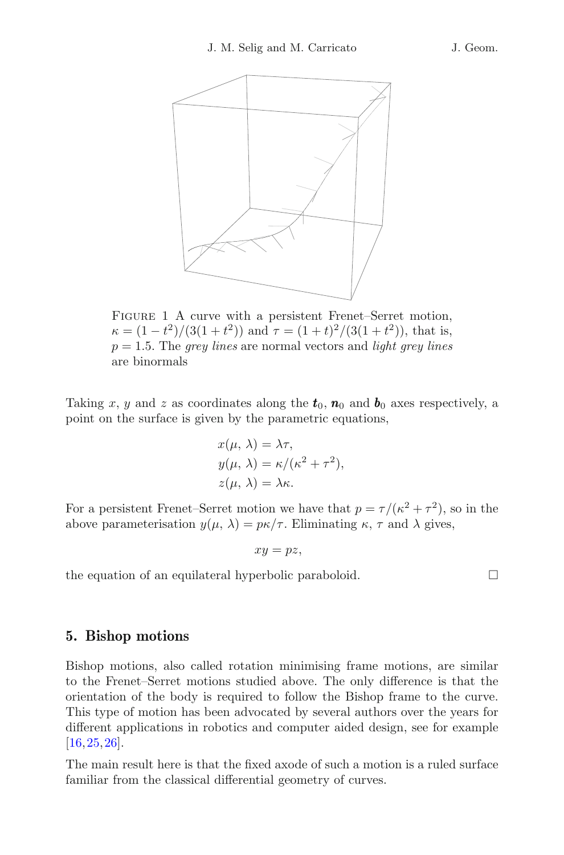

<span id="page-9-0"></span>FIGURE 1 A curve with a persistent Frenet–Serret motion,  $\kappa = (1 - t^2)/(3(1 + t^2))$  and  $\tau = (1 + t)^2/(3(1 + t^2))$ , that is, p = 1.5. The *grey lines* are normal vectors and *light grey lines* are binormals

Taking x, y and z as coordinates along the  $t_0$ ,  $n_0$  and  $b_0$  axes respectively, a point on the surface is given by the parametric equations,

$$
x(\mu, \lambda) = \lambda \tau,
$$
  
\n
$$
y(\mu, \lambda) = \kappa/(\kappa^2 + \tau^2),
$$
  
\n
$$
z(\mu, \lambda) = \lambda \kappa.
$$

For a persistent Frenet–Serret motion we have that  $p = \tau/(\kappa^2 + \tau^2)$ , so in the above parameterisation  $y(\mu, \lambda) = p\kappa/\tau$ . Eliminating  $\kappa$ ,  $\tau$  and  $\lambda$  gives,

$$
xy = pz,
$$

the equation of an equilateral hyperbolic paraboloid.  $\Box$ 

# <span id="page-9-1"></span>**5. Bishop motions**

Bishop motions, also called rotation minimising frame motions, are similar to the Frenet–Serret motions studied above. The only difference is that the orientation of the body is required to follow the Bishop frame to the curve. This type of motion has been advocated by several authors over the years for different applications in robotics and computer aided design, see for example [\[16,](#page-19-6)[25](#page-20-3)[,26](#page-20-4)].

The main result here is that the fixed axode of such a motion is a ruled surface familiar from the classical differential geometry of curves.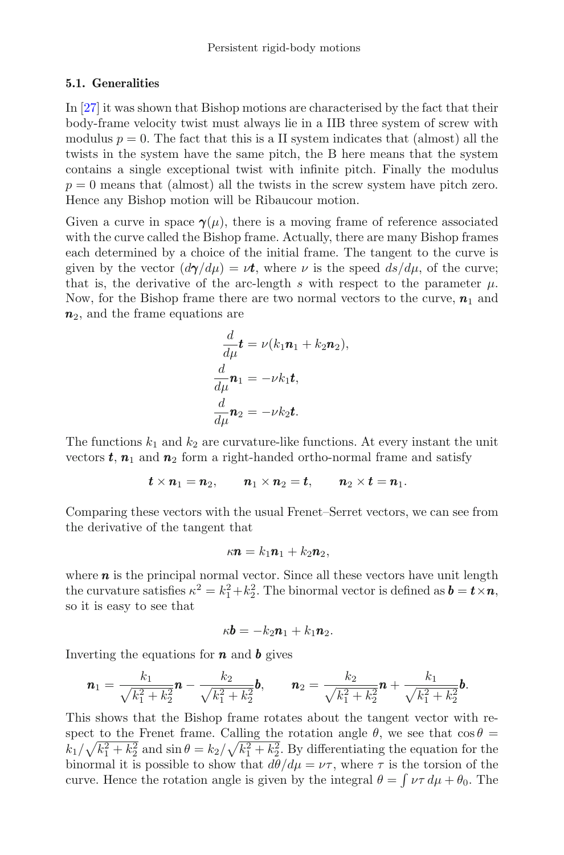#### <span id="page-10-0"></span>**5.1. Generalities**

In [\[27](#page-20-5)] it was shown that Bishop motions are characterised by the fact that their body-frame velocity twist must always lie in a IIB three system of screw with modulus  $p = 0$ . The fact that this is a II system indicates that (almost) all the twists in the system have the same pitch, the B here means that the system contains a single exceptional twist with infinite pitch. Finally the modulus  $p = 0$  means that (almost) all the twists in the screw system have pitch zero. Hence any Bishop motion will be Ribaucour motion.

Given a curve in space  $\gamma(\mu)$ , there is a moving frame of reference associated with the curve called the Bishop frame. Actually, there are many Bishop frames each determined by a choice of the initial frame. The tangent to the curve is given by the vector  $(d\gamma/d\mu) = \nu t$ , where  $\nu$  is the speed  $ds/d\mu$ , of the curve; that is, the derivative of the arc-length s with respect to the parameter  $\mu$ . Now, for the Bishop frame there are two normal vectors to the curve,  $n_1$  and  $n_2$ , and the frame equations are

$$
\frac{d}{d\mu}\mathbf{t} = \nu(k_1\mathbf{n}_1 + k_2\mathbf{n}_2),
$$
\n
$$
\frac{d}{d\mu}\mathbf{n}_1 = -\nu k_1\mathbf{t},
$$
\n
$$
\frac{d}{d\mu}\mathbf{n}_2 = -\nu k_2\mathbf{t}.
$$

The functions  $k_1$  and  $k_2$  are curvature-like functions. At every instant the unit vectors  $t, n_1$  and  $n_2$  form a right-handed ortho-normal frame and satisfy

$$
\pmb t\times \pmb n_1=\pmb n_2,\qquad \pmb n_1\times \pmb n_2=\pmb t,\qquad \pmb n_2\times \pmb t=\pmb n_1.
$$

Comparing these vectors with the usual Frenet–Serret vectors, we can see from the derivative of the tangent that

$$
\kappa \mathbf{n} = k_1 \mathbf{n}_1 + k_2 \mathbf{n}_2,
$$

where  $n$  is the principal normal vector. Since all these vectors have unit length the curvature satisfies  $\kappa^2 = k_1^2 + k_2^2$ . The binormal vector is defined as  $\mathbf{b} = \mathbf{t} \times \mathbf{n}$ , so it is easy to see that

$$
\kappa \mathbf{b} = -k_2 \mathbf{n}_1 + k_1 \mathbf{n}_2.
$$

Inverting the equations for  $\boldsymbol{n}$  and  $\boldsymbol{b}$  gives

$$
\boldsymbol{n}_1 = \frac{k_1}{\sqrt{k_1^2 + k_2^2}} \boldsymbol{n} - \frac{k_2}{\sqrt{k_1^2 + k_2^2}} \boldsymbol{b}, \qquad \boldsymbol{n}_2 = \frac{k_2}{\sqrt{k_1^2 + k_2^2}} \boldsymbol{n} + \frac{k_1}{\sqrt{k_1^2 + k_2^2}} \boldsymbol{b}.
$$

This shows that the Bishop frame rotates about the tangent vector with respect to the Frenet frame. Calling the rotation angle  $\theta$ , we see that  $\cos \theta =$  $k_1/\sqrt{k_1^2+k_2^2}$  and  $\sin\theta = k_2/\sqrt{k_1^2+k_2^2}$ . By differentiating the equation for the binormal it is possible to show that  $d\theta/d\mu = \nu \tau$ , where  $\tau$  is the torsion of the curve. Hence the rotation angle is given by the integral  $\theta = \int \nu \tau d\mu + \theta_0$ . The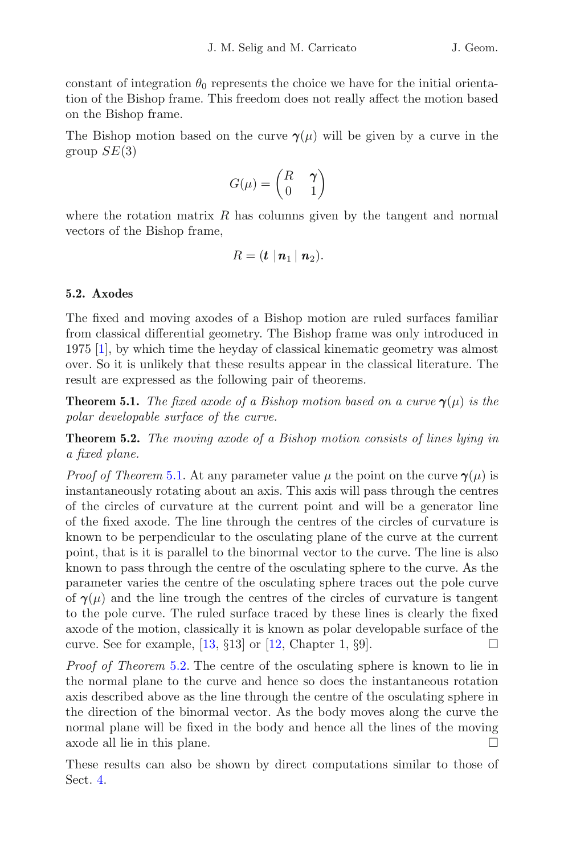constant of integration  $\theta_0$  represents the choice we have for the initial orientation of the Bishop frame. This freedom does not really affect the motion based on the Bishop frame.

The Bishop motion based on the curve  $\gamma(\mu)$  will be given by a curve in the group  $SE(3)$ 

$$
G(\mu) = \begin{pmatrix} R & \gamma \\ 0 & 1 \end{pmatrix}
$$

where the rotation matrix  $R$  has columns given by the tangent and normal vectors of the Bishop frame,

$$
R=(\mathbf{t}\mid \mathbf{n}_1\mid \mathbf{n}_2).
$$

# **5.2. Axodes**

The fixed and moving axodes of a Bishop motion are ruled surfaces familiar from classical differential geometry. The Bishop frame was only introduced in 1975 [\[1\]](#page-18-1), by which time the heyday of classical kinematic geometry was almost over. So it is unlikely that these results appear in the classical literature. The result are expressed as the following pair of theorems.

<span id="page-11-0"></span>**Theorem 5.1.** *The fixed axode of a Bishop motion based on a curve*  $\gamma(\mu)$  *is the polar developable surface of the curve.*

<span id="page-11-1"></span>**Theorem 5.2.** *The moving axode of a Bishop motion consists of lines lying in a fixed plane.*

*Proof of Theorem* [5.1.](#page-11-0) At any parameter value  $\mu$  the point on the curve  $\gamma(\mu)$  is instantaneously rotating about an axis. This axis will pass through the centres of the circles of curvature at the current point and will be a generator line of the fixed axode. The line through the centres of the circles of curvature is known to be perpendicular to the osculating plane of the curve at the current point, that is it is parallel to the binormal vector to the curve. The line is also known to pass through the centre of the osculating sphere to the curve. As the parameter varies the centre of the osculating sphere traces out the pole curve of  $\gamma(\mu)$  and the line trough the centres of the circles of curvature is tangent to the pole curve. The ruled surface traced by these lines is clearly the fixed axode of the motion, classically it is known as polar developable surface of the curve. See for example,  $[13, \S13]$  $[13, \S13]$  or  $[12, \text{Chapter 1}, \S9]$  $[12, \text{Chapter 1}, \S9]$ .

*Proof of Theorem* [5.2.](#page-11-1) The centre of the osculating sphere is known to lie in the normal plane to the curve and hence so does the instantaneous rotation axis described above as the line through the centre of the osculating sphere in the direction of the binormal vector. As the body moves along the curve the normal plane will be fixed in the body and hence all the lines of the moving axode all lie in this plane.  $\Box$ 

These results can also be shown by direct computations similar to those of Sect. [4.](#page-5-0)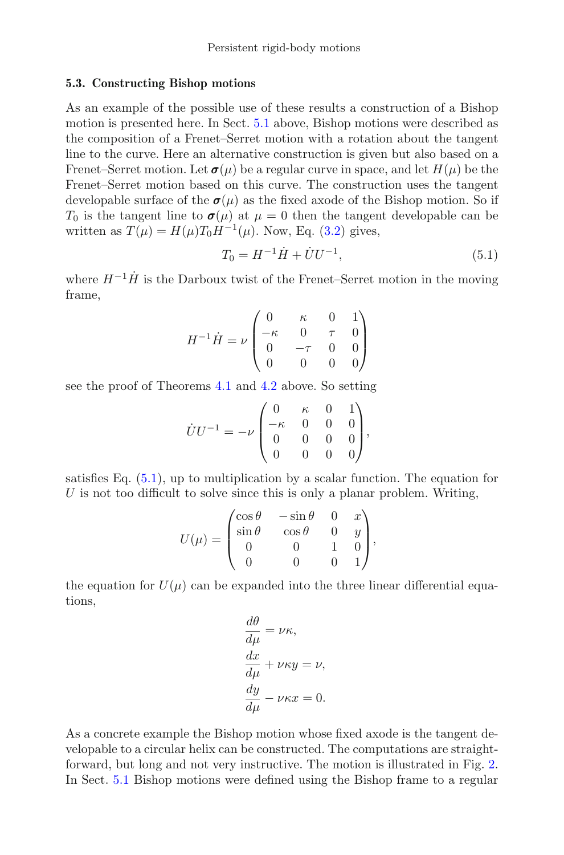#### **5.3. Constructing Bishop motions**

As an example of the possible use of these results a construction of a Bishop motion is presented here. In Sect. [5.1](#page-10-0) above, Bishop motions were described as the composition of a Frenet–Serret motion with a rotation about the tangent line to the curve. Here an alternative construction is given but also based on a Frenet–Serret motion. Let  $\sigma(\mu)$  be a regular curve in space, and let  $H(\mu)$  be the Frenet–Serret motion based on this curve. The construction uses the tangent developable surface of the  $\sigma(\mu)$  as the fixed axode of the Bishop motion. So if  $T_0$  is the tangent line to  $\sigma(\mu)$  at  $\mu = 0$  then the tangent developable can be written as  $T(\mu) = H(\mu)T_0H^{-1}(\mu)$ . Now, Eq. [\(3.2\)](#page-4-1) gives,

$$
T_0 = H^{-1}\dot{H} + \dot{U}U^{-1},\tag{5.1}
$$

<span id="page-12-0"></span>where  $H^{-1}\dot{H}$  is the Darboux twist of the Frenet–Serret motion in the moving frame,

$$
H^{-1}\dot{H} = \nu \begin{pmatrix} 0 & \kappa & 0 & 1 \\ -\kappa & 0 & \tau & 0 \\ 0 & -\tau & 0 & 0 \\ 0 & 0 & 0 & 0 \end{pmatrix}
$$

see the proof of Theorems [4.1](#page-6-0) and [4.2](#page-6-1) above. So setting

$$
\dot{U}U^{-1} = -\nu \begin{pmatrix} 0 & \kappa & 0 & 1 \\ -\kappa & 0 & 0 & 0 \\ 0 & 0 & 0 & 0 \\ 0 & 0 & 0 & 0 \end{pmatrix},
$$

satisfies Eq.  $(5.1)$ , up to multiplication by a scalar function. The equation for  $U$  is not too difficult to solve since this is only a planar problem. Writing,

$$
U(\mu) = \begin{pmatrix} \cos \theta & -\sin \theta & 0 & x \\ \sin \theta & \cos \theta & 0 & y \\ 0 & 0 & 1 & 0 \\ 0 & 0 & 0 & 1 \end{pmatrix},
$$

the equation for  $U(\mu)$  can be expanded into the three linear differential equations,

$$
\frac{d\theta}{d\mu} = \nu \kappa,
$$
  
\n
$$
\frac{dx}{d\mu} + \nu \kappa y = \nu,
$$
  
\n
$$
\frac{dy}{d\mu} - \nu \kappa x = 0.
$$

As a concrete example the Bishop motion whose fixed axode is the tangent developable to a circular helix can be constructed. The computations are straightforward, but long and not very instructive. The motion is illustrated in Fig. [2.](#page-13-0) In Sect. [5.1](#page-10-0) Bishop motions were defined using the Bishop frame to a regular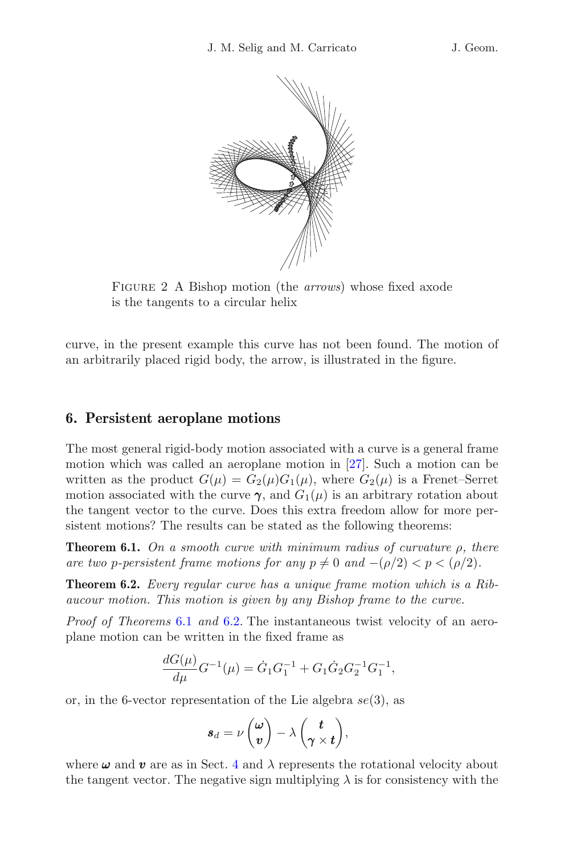

Figure 2 A Bishop motion (the *arrows*) whose fixed axode is the tangents to a circular helix

<span id="page-13-0"></span>curve, in the present example this curve has not been found. The motion of an arbitrarily placed rigid body, the arrow, is illustrated in the figure.

#### **6. Persistent aeroplane motions**

The most general rigid-body motion associated with a curve is a general frame motion which was called an aeroplane motion in [\[27](#page-20-5)]. Such a motion can be written as the product  $G(\mu) = G_2(\mu)G_1(\mu)$ , where  $G_2(\mu)$  is a Frenet–Serret motion associated with the curve  $\gamma$ , and  $G_1(\mu)$  is an arbitrary rotation about the tangent vector to the curve. Does this extra freedom allow for more persistent motions? The results can be stated as the following theorems:

<span id="page-13-1"></span>**Theorem 6.1.** *On a smooth curve with minimum radius of curvature* ρ*, there are two p-persistent frame motions for any*  $p \neq 0$  *and*  $-(p/2) < p < (p/2)$ *.* 

<span id="page-13-2"></span>**Theorem 6.2.** *Every regular curve has a unique frame motion which is a Ribaucour motion. This motion is given by any Bishop frame to the curve.*

*Proof of Theorems* [6.1](#page-13-1) *and* [6.2.](#page-13-2) The instantaneous twist velocity of an aeroplane motion can be written in the fixed frame as

$$
\frac{dG(\mu)}{d\mu}G^{-1}(\mu) = \dot{G}_1 G_1^{-1} + G_1 \dot{G}_2 G_2^{-1} G_1^{-1},
$$

or, in the 6-vector representation of the Lie algebra  $se(3)$ , as

$$
s_d = \nu \begin{pmatrix} \omega \\ v \end{pmatrix} - \lambda \begin{pmatrix} t \\ \gamma \times t \end{pmatrix},
$$

where  $\omega$  and  $\boldsymbol{v}$  are as in Sect. [4](#page-5-0) and  $\lambda$  represents the rotational velocity about the tangent vector. The negative sign multiplying  $\lambda$  is for consistency with the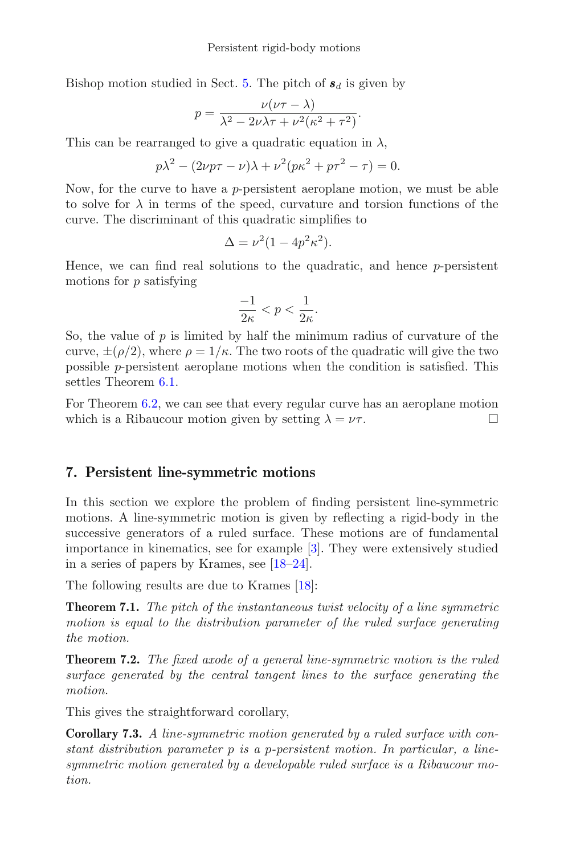Bishop motion studied in Sect. [5.](#page-9-1) The pitch of  $s_d$  is given by

$$
p = \frac{\nu(\nu\tau - \lambda)}{\lambda^2 - 2\nu\lambda\tau + \nu^2(\kappa^2 + \tau^2)}.
$$

This can be rearranged to give a quadratic equation in  $\lambda$ ,

$$
p\lambda^2 - (2\nu p\tau - \nu)\lambda + \nu^2(p\kappa^2 + p\tau^2 - \tau) = 0.
$$

Now, for the curve to have a  $p$ -persistent aeroplane motion, we must be able to solve for  $\lambda$  in terms of the speed, curvature and torsion functions of the curve. The discriminant of this quadratic simplifies to

$$
\Delta = \nu^2 (1 - 4p^2 \kappa^2).
$$

Hence, we can find real solutions to the quadratic, and hence  $p$ -persistent motions for  $p$  satisfying

$$
\frac{-1}{2\kappa} < p < \frac{1}{2\kappa}.
$$

So, the value of  $p$  is limited by half the minimum radius of curvature of the curve,  $\pm(\rho/2)$ , where  $\rho=1/\kappa$ . The two roots of the quadratic will give the two possible p-persistent aeroplane motions when the condition is satisfied. This settles Theorem [6.1.](#page-13-1)

For Theorem [6.2,](#page-13-2) we can see that every regular curve has an aeroplane motion which is a Ribaucour motion given by setting  $\lambda = \nu \tau$ .

# **7. Persistent line-symmetric motions**

In this section we explore the problem of finding persistent line-symmetric motions. A line-symmetric motion is given by reflecting a rigid-body in the successive generators of a ruled surface. These motions are of fundamental importance in kinematics, see for example [\[3](#page-19-5)]. They were extensively studied in a series of papers by Krames, see [\[18](#page-19-9)[–24](#page-20-6)].

<span id="page-14-0"></span>The following results are due to Krames [\[18](#page-19-9)]:

**Theorem 7.1.** *The pitch of the instantaneous twist velocity of a line symmetric motion is equal to the distribution parameter of the ruled surface generating the motion.*

<span id="page-14-1"></span>**Theorem 7.2.** *The fixed axode of a general line-symmetric motion is the ruled surface generated by the central tangent lines to the surface generating the motion.*

This gives the straightforward corollary,

**Corollary 7.3.** *A line-symmetric motion generated by a ruled surface with constant distribution parameter* p *is a* p*-persistent motion. In particular, a linesymmetric motion generated by a developable ruled surface is a Ribaucour motion.*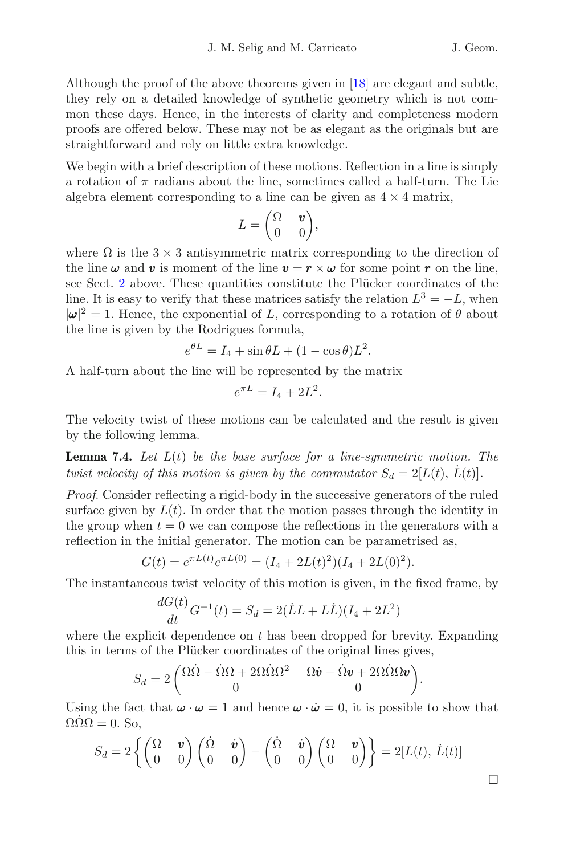Although the proof of the above theorems given in [\[18\]](#page-19-9) are elegant and subtle, they rely on a detailed knowledge of synthetic geometry which is not common these days. Hence, in the interests of clarity and completeness modern proofs are offered below. These may not be as elegant as the originals but are straightforward and rely on little extra knowledge.

We begin with a brief description of these motions. Reflection in a line is simply a rotation of  $\pi$  radians about the line, sometimes called a half-turn. The Lie algebra element corresponding to a line can be given as  $4 \times 4$  matrix,

$$
L=\begin{pmatrix}\Omega&\pmb v\\0&0\end{pmatrix}\!,
$$

where  $\Omega$  is the  $3 \times 3$  antisymmetric matrix corresponding to the direction of the line  $\omega$  and v is moment of the line  $v = r \times \omega$  for some point r on the line, see Sect. [2](#page-1-1) above. These quantities constitute the Plücker coordinates of the line. It is easy to verify that these matrices satisfy the relation  $L^3 = -L$ , when  $|\omega|^2 = 1$ . Hence, the exponential of L, corresponding to a rotation of  $\theta$  about the line is given by the Rodrigues formula,

$$
e^{\theta L} = I_4 + \sin \theta L + (1 - \cos \theta) L^2.
$$

A half-turn about the line will be represented by the matrix

$$
e^{\pi L} = I_4 + 2L^2.
$$

The velocity twist of these motions can be calculated and the result is given by the following lemma.

<span id="page-15-0"></span>**Lemma 7.4.** *Let* L(t) *be the base surface for a line-symmetric motion. The twist velocity of this motion is given by the commutator*  $S_d = 2[L(t), L(t)]$ *.* 

*Proof*. Consider reflecting a rigid-body in the successive generators of the ruled surface given by  $L(t)$ . In order that the motion passes through the identity in the group when  $t = 0$  we can compose the reflections in the generators with a reflection in the initial generator. The motion can be parametrised as,

$$
G(t) = e^{\pi L(t)} e^{\pi L(0)} = (I_4 + 2L(t)^2)(I_4 + 2L(0)^2).
$$

The instantaneous twist velocity of this motion is given, in the fixed frame, by

$$
\frac{dG(t)}{dt}G^{-1}(t) = S_d = 2(\dot{L}L + L\dot{L})(I_4 + 2L^2)
$$

where the explicit dependence on  $t$  has been dropped for brevity. Expanding this in terms of the Plücker coordinates of the original lines gives,

$$
S_d = 2\begin{pmatrix} \Omega \dot{\Omega} - \dot{\Omega}\Omega + 2\Omega \dot{\Omega}\Omega^2 & \Omega \dot{\boldsymbol{v}} - \dot{\Omega}\boldsymbol{v} + 2\Omega \dot{\Omega}\Omega \boldsymbol{v} \\ 0 & 0 \end{pmatrix}.
$$

<span id="page-15-1"></span>Using the fact that  $\omega \cdot \omega = 1$  and hence  $\omega \cdot \omega = 0$ , it is possible to show that  $\Omega \dot{\Omega} \Omega = 0$ . So,

$$
S_d = 2\left\{ \begin{pmatrix} \Omega & \boldsymbol{v} \\ 0 & 0 \end{pmatrix} \begin{pmatrix} \dot{\Omega} & \dot{\boldsymbol{v}} \\ 0 & 0 \end{pmatrix} - \begin{pmatrix} \dot{\Omega} & \dot{\boldsymbol{v}} \\ 0 & 0 \end{pmatrix} \begin{pmatrix} \Omega & \boldsymbol{v} \\ 0 & 0 \end{pmatrix} \right\} = 2[L(t), \dot{L}(t)]
$$

 $\Box$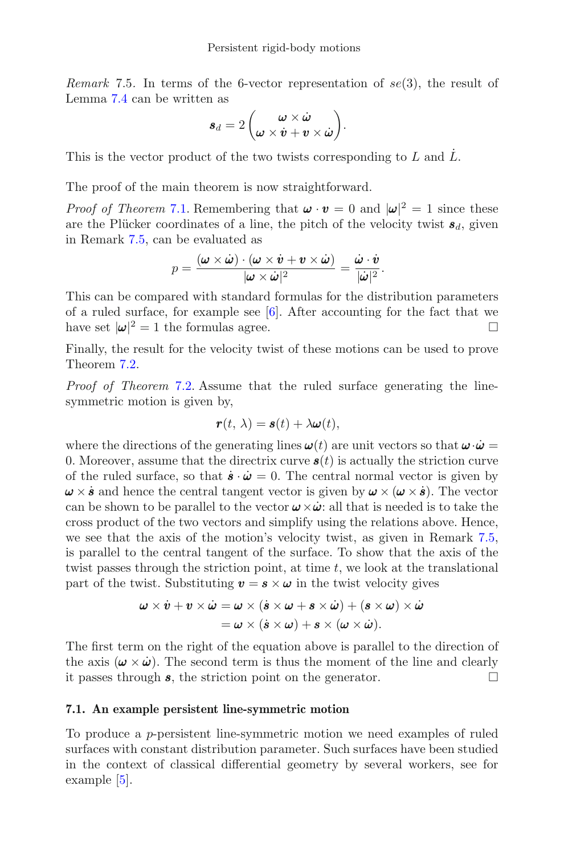*Remark* 7.5. In terms of the 6-vector representation of  $se(3)$ , the result of Lemma [7.4](#page-15-0) can be written as

$$
\bm{s}_d = 2\left(\bm{\omega}\times\dot{\bm{\omega}}{\bm{\omega}}\times\bm{\dot{\omega}}+\bm{v}\times\dot{\bm{\omega}}\right)\!.
$$

This is the vector product of the two twists corresponding to  $L$  and  $\dot{L}$ .

The proof of the main theorem is now straightforward.

*Proof of Theorem* [7.1.](#page-14-0) Remembering that  $\boldsymbol{\omega} \cdot \boldsymbol{v} = 0$  and  $|\boldsymbol{\omega}|^2 = 1$  since these are the Plücker coordinates of a line, the pitch of the velocity twist  $s_d$ , given in Remark [7.5,](#page-15-1) can be evaluated as

$$
p = \frac{(\boldsymbol{\omega} \times \dot{\boldsymbol{\omega}}) \cdot (\boldsymbol{\omega} \times \dot{\boldsymbol{v}} + \boldsymbol{v} \times \dot{\boldsymbol{\omega}})}{|\boldsymbol{\omega} \times \dot{\boldsymbol{\omega}}|^2} = \frac{\dot{\boldsymbol{\omega}} \cdot \dot{\boldsymbol{v}}}{|\dot{\boldsymbol{\omega}}|^2}.
$$

This can be compared with standard formulas for the distribution parameters of a ruled surface, for example see [\[6\]](#page-19-10). After accounting for the fact that we have set  $|\omega|^2 = 1$  the formulas agree.

Finally, the result for the velocity twist of these motions can be used to prove Theorem [7.2.](#page-14-1)

*Proof of Theorem* [7.2.](#page-14-1) Assume that the ruled surface generating the linesymmetric motion is given by,

$$
\mathbf{r}(t,\,\lambda)=\mathbf{s}(t)+\lambda\boldsymbol{\omega}(t),
$$

where the directions of the generating lines  $\boldsymbol{\omega}(t)$  are unit vectors so that  $\boldsymbol{\omega} \cdot \boldsymbol{\omega} =$ 0. Moreover, assume that the directrix curve  $s(t)$  is actually the striction curve of the ruled surface, so that  $\dot{\mathbf{s}} \cdot \dot{\mathbf{\omega}} = 0$ . The central normal vector is given by  $\omega \times \dot{s}$  and hence the central tangent vector is given by  $\omega \times (\omega \times \dot{s})$ . The vector can be shown to be parallel to the vector  $\boldsymbol{\omega} \times \boldsymbol{\dot{\omega}}$ : all that is needed is to take the cross product of the two vectors and simplify using the relations above. Hence, we see that the axis of the motion's velocity twist, as given in Remark [7.5,](#page-15-1) is parallel to the central tangent of the surface. To show that the axis of the twist passes through the striction point, at time  $t$ , we look at the translational part of the twist. Substituting  $v = s \times \omega$  in the twist velocity gives

$$
\begin{aligned} \omega \times \dot{v} + v \times \dot{\omega} &= \omega \times (\dot{s} \times \omega + s \times \dot{\omega}) + (s \times \omega) \times \dot{\omega} \\ &= \omega \times (\dot{s} \times \omega) + s \times (\omega \times \dot{\omega}). \end{aligned}
$$

The first term on the right of the equation above is parallel to the direction of the axis  $(\omega \times \dot{\omega})$ . The second term is thus the moment of the line and clearly it passes through  $s$  the striction point on the generator it passes through  $s$ , the striction point on the generator.

#### **7.1. An example persistent line-symmetric motion**

To produce a p-persistent line-symmetric motion we need examples of ruled surfaces with constant distribution parameter. Such surfaces have been studied in the context of classical differential geometry by several workers, see for example [\[5\]](#page-19-11).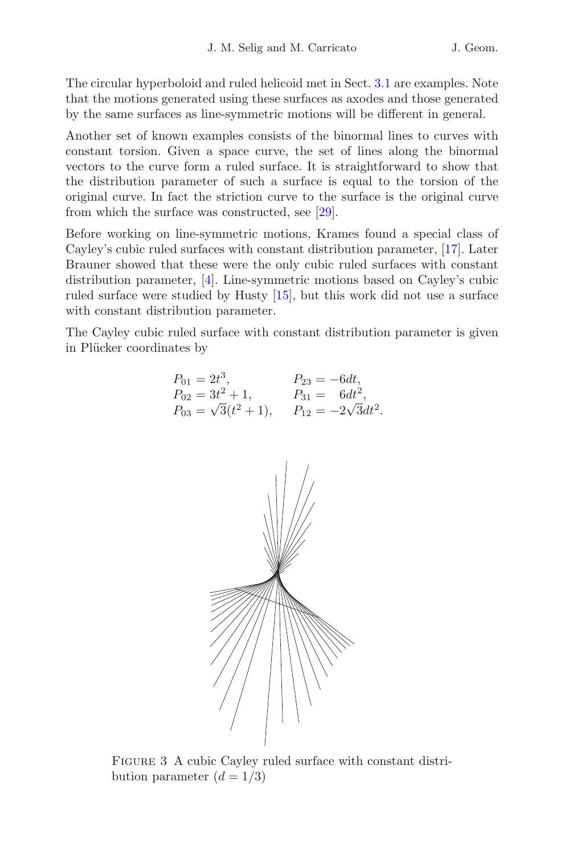The circular hyperboloid and ruled helicoid met in Sect. [3.1](#page-4-2) are examples. Note that the motions generated using these surfaces as axodes and those generated by the same surfaces as line-symmetric motions will be different in general.

Another set of known examples consists of the binormal lines to curves with constant torsion. Given a space curve, the set of lines along the binormal vectors to the curve form a ruled surface. It is straightforward to show that the distribution parameter of such a surface is equal to the torsion of the original curve. In fact the striction curve to the surface is the original curve from which the surface was constructed, see [\[29](#page-20-2)].

Before working on line-symmetric motions, Krames found a special class of Cayley's cubic ruled surfaces with constant distribution parameter, [\[17\]](#page-19-12). Later Brauner showed that these were the only cubic ruled surfaces with constant distribution parameter, [\[4\]](#page-19-13). Line-symmetric motions based on Cayley's cubic ruled surface were studied by Husty [\[15](#page-19-14)], but this work did not use a surface with constant distribution parameter.

The Cayley cubic ruled surface with constant distribution parameter is given in Plücker coordinates by

$$
P_{01} = 2t^3, \t P_{23} = -6dt, P_{02} = 3t^2 + 1, \t P_{31} = 6dt^2, P_{03} = \sqrt{3}(t^2 + 1), \t P_{12} = -2\sqrt{3}dt^2.
$$



<span id="page-17-0"></span>FIGURE 3 A cubic Cayley ruled surface with constant distribution parameter  $(d = 1/3)$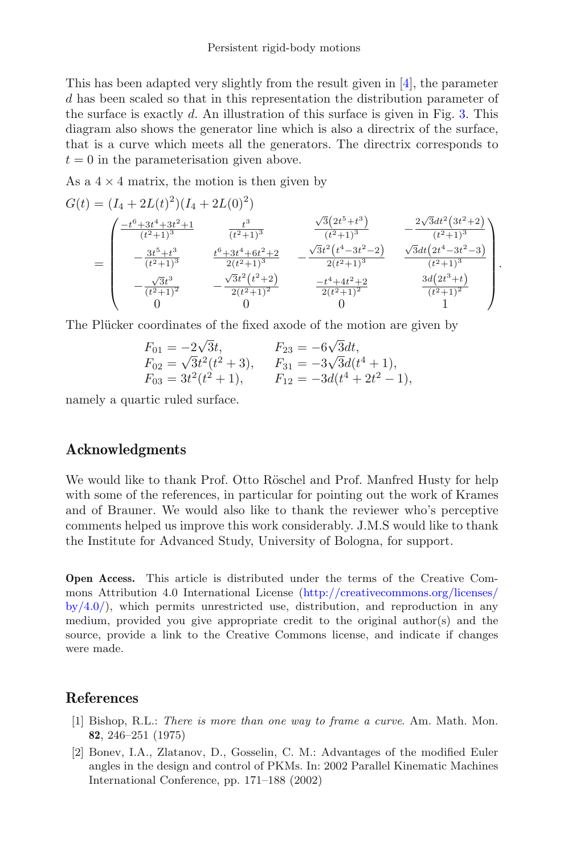This has been adapted very slightly from the result given in [\[4](#page-19-13)], the parameter d has been scaled so that in this representation the distribution parameter of the surface is exactly  $d$ . An illustration of this surface is given in Fig. [3.](#page-17-0) This diagram also shows the generator line which is also a directrix of the surface, that is a curve which meets all the generators. The directrix corresponds to  $t = 0$  in the parameterisation given above.

As a  $4 \times 4$  matrix, the motion is then given by

$$
G(t) = (I_4 + 2L(t)^2)(I_4 + 2L(0)^2)
$$
  
= 
$$
\begin{pmatrix} \frac{-t^6 + 3t^4 + 3t^2 + 1}{(t^2 + 1)^3} & \frac{t^3}{(t^2 + 1)^3} & \frac{\sqrt{3}(2t^5 + t^3)}{(t^2 + 1)^3} & -\frac{2\sqrt{3}dt^2(3t^2 + 2)}{(t^2 + 1)^3} \\ -\frac{3t^5 + t^3}{(t^2 + 1)^3} & \frac{t^6 + 3t^4 + 6t^2 + 2}{2(t^2 + 1)^3} & -\frac{\sqrt{3}t^2(t^4 - 3t^2 - 2)}{2(t^2 + 1)^3} & \frac{\sqrt{3}dt(2t^4 - 3t^2 - 3)}{(t^2 + 1)^3} \\ -\frac{\sqrt{3}t^3}{(t^2 + 1)^2} & -\frac{\sqrt{3}t^2(t^2 + 2)}{2(t^2 + 1)^2} & \frac{-t^4 + 4t^2 + 2}{2(t^2 + 1)^2} & \frac{3d(2t^3 + t)}{(t^2 + 1)^2} \\ 0 & 0 & 1 \end{pmatrix}.
$$

The Plücker coordinates of the fixed axode of the motion are given by

$$
F_{01} = -2\sqrt{3}t, \nF_{02} = \sqrt{3}t^2(t^2 + 3), \nF_{03} = 3t^2(t^2 + 1), \nF_{12} = -3d(t^4 + 2t^2 - 1),
$$
\n
$$
F_{13} = -3d(t^4 + 2t^2 - 1),
$$

namely a quartic ruled surface.

# **Acknowledgments**

We would like to thank Prof. Otto Röschel and Prof. Manfred Husty for help with some of the references, in particular for pointing out the work of Krames and of Brauner. We would also like to thank the reviewer who's perceptive comments helped us improve this work considerably. J.M.S would like to thank the Institute for Advanced Study, University of Bologna, for support.

**Open Access.** This article is distributed under the terms of the Creative Commons Attribution 4.0 International License [\(http://creativecommons.org/licenses/](http://creativecommons.org/licenses/by/4.0/)  $by/4.0$ , which permits unrestricted use, distribution, and reproduction in any medium, provided you give appropriate credit to the original author(s) and the source, provide a link to the Creative Commons license, and indicate if changes were made.

# <span id="page-18-1"></span>**References**

- [1] Bishop, R.L.: *There is more than one way to frame a curve*. Am. Math. Mon. **82**, 246–251 (1975)
- <span id="page-18-0"></span>[2] Bonev, I.A., Zlatanov, D., Gosselin, C. M.: Advantages of the modified Euler angles in the design and control of PKMs. In: 2002 Parallel Kinematic Machines International Conference, pp. 171–188 (2002)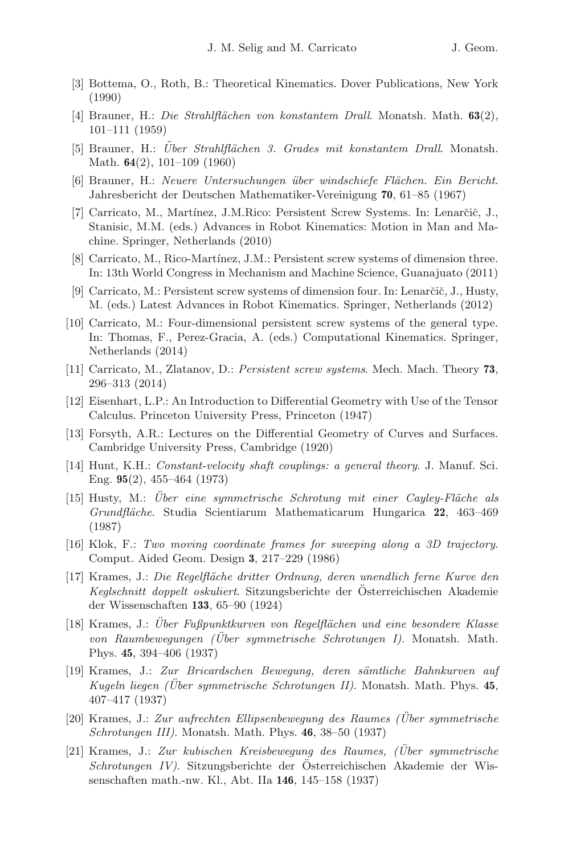- <span id="page-19-5"></span>[3] Bottema, O., Roth, B.: Theoretical Kinematics. Dover Publications, New York (1990)
- <span id="page-19-13"></span>[4] Brauner, H.: *Die Strahlfl¨achen von konstantem Drall*. Monatsh. Math. **63**(2), 101–111 (1959)
- <span id="page-19-11"></span>[5] Brauner, H.: *Uber Strahlfl¨ ¨ achen 3. Grades mit konstantem Drall*. Monatsh. Math. **64**(2), 101–109 (1960)
- <span id="page-19-10"></span>[6] Brauner, H.: *Neuere Untersuchungen ¨uber windschiefe Fl¨achen. Ein Bericht*. Jahresbericht der Deutschen Mathematiker-Vereinigung **70**, 61–85 (1967)
- <span id="page-19-0"></span>[7] Carricato, M., Martínez, J.M.Rico: Persistent Screw Systems. In: Lenarčič, J., Stanisic, M.M. (eds.) Advances in Robot Kinematics: Motion in Man and Machine. Springer, Netherlands (2010)
- <span id="page-19-2"></span>[8] Carricato, M., Rico-Martínez, J.M.: Persistent screw systems of dimension three. In: 13th World Congress in Mechanism and Machine Science, Guanajuato (2011)
- [9] Carricato, M.: Persistent screw systems of dimension four. In: Lenarčič, J., Husty, M. (eds.) Latest Advances in Robot Kinematics. Springer, Netherlands (2012)
- <span id="page-19-3"></span>[10] Carricato, M.: Four-dimensional persistent screw systems of the general type. In: Thomas, F., Perez-Gracia, A. (eds.) Computational Kinematics. Springer, Netherlands (2014)
- <span id="page-19-1"></span>[11] Carricato, M., Zlatanov, D.: *Persistent screw systems*. Mech. Mach. Theory **73**, 296–313 (2014)
- <span id="page-19-8"></span>[12] Eisenhart, L.P.: An Introduction to Differential Geometry with Use of the Tensor Calculus. Princeton University Press, Princeton (1947)
- <span id="page-19-7"></span>[13] Forsyth, A.R.: Lectures on the Differential Geometry of Curves and Surfaces. Cambridge University Press, Cambridge (1920)
- <span id="page-19-4"></span>[14] Hunt, K.H.: *Constant-velocity shaft couplings: a general theory*. J. Manuf. Sci. Eng. **95**(2), 455–464 (1973)
- <span id="page-19-14"></span>[15] Husty, M.: *Über eine symmetrische Schrotung mit einer Cayley-Fläche als Grundfl¨ache*. Studia Scientiarum Mathematicarum Hungarica **22**, 463–469 (1987)
- <span id="page-19-6"></span>[16] Klok, F.: *Two moving coordinate frames for sweeping along a 3D trajectory*. Comput. Aided Geom. Design **3**, 217–229 (1986)
- <span id="page-19-12"></span>[17] Krames, J.: *Die Regelfl¨ache dritter Ordnung, deren unendlich ferne Kurve den Keglschnitt doppelt oskuliert*. Sitzungsberichte der Osterreichischen Akademie ¨ der Wissenschaften **133**, 65–90 (1924)
- <span id="page-19-9"></span>[18] Krames, J.: *Uber Fußpunktkurven von Regelfl¨ ¨ achen und eine besondere Klasse von Raumbewegungen (Uber symmetrische Schrotungen I) ¨* . Monatsh. Math. Phys. **45**, 394–406 (1937)
- [19] Krames, J.: *Zur Bricardschen Bewegung, deren s¨amtliche Bahnkurven auf Kugeln liegen (Uber symmetrische Schrotungen II) ¨* . Monatsh. Math. Phys. **45**, 407–417 (1937)
- [20] Krames, J.: *Zur aufrechten Ellipsenbewegung des Raumes (Uber symmetrische ¨ Schrotungen III)*. Monatsh. Math. Phys. **46**, 38–50 (1937)
- [21] Krames, J.: *Zur kubischen Kreisbewegung des Raumes, (Uber symmetrische ¨ Schrotungen IV)*. Sitzungsberichte der Osterreichischen Akademie der Wis- ¨ senschaften math.-nw. Kl., Abt. IIa **146**, 145–158 (1937)